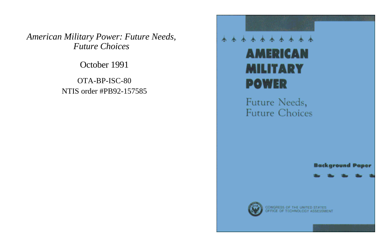*American Military Power: Future Needs, Future Choices*

October 1991

OTA-BP-ISC-80 NTIS order #PB92-157585

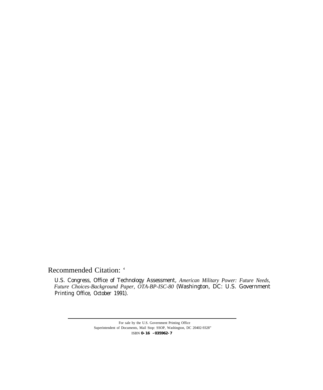Recommended Citation: '

U.S. Congress, Office of Technology Assessment, *American Military Power: Future Needs, Future Choices-Background Paper, OTA-BP-ISC-80* (Washington, DC: U.S. Government Printing Office, October 1991).

> For sale by the U.S. Government Printing Office Superintendent of Documents, Mail Stop: SSOP, Washington, DC 20402-9328" ISBN **0-16 -035962-7**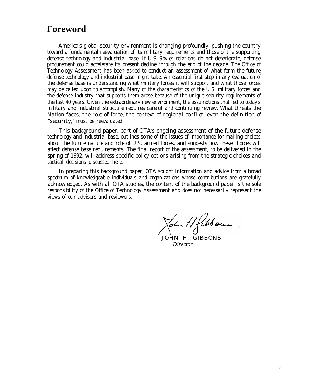## **Foreword**

America's global security environment is changing profoundly, pushing the country toward a fundamental reevaluation of its military requirements and those of the supporting defense technology and industrial base. If U.S.-Soviet relations do not deteriorate, defense procurement could accelerate its present decline through the end of the decade. The Office of Technology Assessment has been asked to conduct an assessment of what form the future defense technology and industrial base might take. An essential first step in any evaluation of the defense base is understanding what military forces it will support and what those forces may be called upon to accomplish. Many of the characteristics of the U.S. military forces and the defense industry that supports them arose because of the unique security requirements of the last 40 years. Given the extraordinary new environment, the assumptions that led to today's military and industrial structure requires careful and continuing review. What threats the Nation faces, the role of force, the context of regional conflict, even the definition of ''security,' must be reevaluated.

This background paper, part of OTA's ongoing assessment of the future defense technology and industrial base, outlines some of the issues of importance for making choices about the future nature and role of U.S. armed forces, and suggests how these choices will affect defense base requirements. The final report of the assessment, to be delivered in the spring of 1992, will address specific policy options arising from the strategic choices and tactical decisions discussed here.

In preparing this background paper, OTA sought information and advice from a broad spectrum of knowledgeable individuals and organizations whose contributions are gratefully acknowledged. As with all OTA studies, the content of the background paper is the sole responsibility of the Office of Technology Assessment and does not necessarily represent the views of our advisers and reviewers.

John Hfibbou.

 JOHN H. GIBBONS *Director*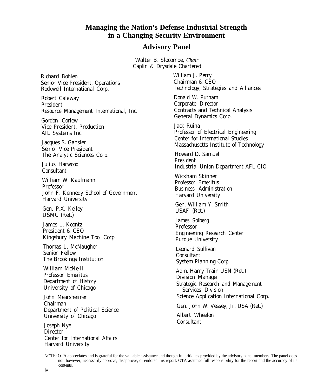## **Managing the Nation's Defense Industrial Strength in a Changing Security Environment**

### **Advisory Panel**

Walter B. Slocombe, *Chair* Caplin & Drysdale Chartered

Richard Bohlen Senior Vice President, Operations Rockwell International Corp.

Robert Calaway President Resource Management International, Inc.

Gordon Corlew Vice President, Production AIL Systems Inc.

Jacques S. Gansler Senior Vice President The Analytic Sciences Corp.

Julius Harwood Consultant

William W. Kaufmann Professor John F. Kennedy School of Government Harvard University

Gen. P.X. Kelley USMC (Ret.)

James L. Koontz President & CEO Kingsbury Machine Tool Corp.

Thomas L. McNaugher Senior Fellow The Brookings Institution

William McNeill Professor Emeritus Department of History University of Chicago

John Mearsheimer Chairman Department of Political Science University of Chicago

Joseph Nye **Director** Center for International Affairs Harvard University

William J. Perry Chairman & CEO Technology, Strategies and Alliances Donald W. Putnam Corporate Director

Contracts and Technical Analysis General Dynamics Corp.

Jack Ruina Professor of Electrical Engineering Center for International Studies Massachusetts Institute of Technology

Howard D. Samuel President Industrial Union Department AFL-CIO

Wickham Skinner Professor Emeritus Business Administration Harvard University

Gen. William Y. Smith USAF (Ret.)

James Solberg Professor Engineering Research Center Purdue University

Leonard Sullivan Consultant System Planning Corp.

Adm. Harry Train USN (Ret.) Division Manager Strategic Research and Management Services Division Science Application International Corp.

Gen. John W. Vessey, Jr. USA (Ret.)

Albert Wheelon **Consultant** 

NOTE: OTA appreciates and is grateful for the valuable assistance and thoughtful critiques provided by the advisory panel members. The panel does not, however, necessarily approve, disapprove, or endorse this report. OTA assumes full responsibility for the report and the accuracy of its contents.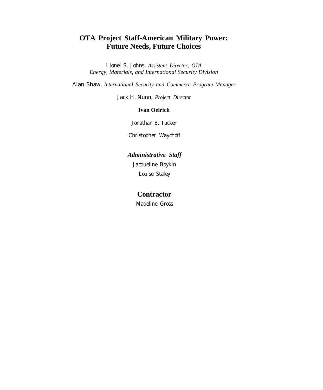## **OTA Project Staff-American Military Power: Future Needs, Future Choices**

Lionel S. Johns, *Assistant Director, OTA Energy, Materials, and International Security Division*

Alan Shaw, *International Security and Commerce Program Manager*

Jack H. Nunn, *Project Director*

### **Ivan Oelrich**

Jonathan B. Tucker

Christopher Waychoff

## *Administrative Staff* Jacqueline Boykin Louise Staley

### **Contractor**

Madeline Gross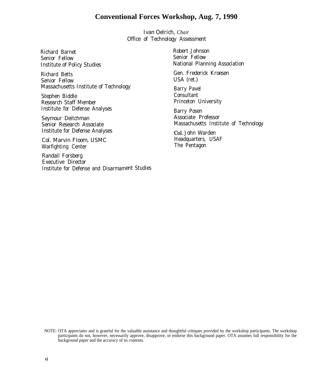## **Conventional Forces Workshop, Aug. 7, 1990**

Ivan Oelrich, *Chair* Office of Technology Assessment

Richard Barnet Senior Fellow Institute of Policy Studies

Richard Betts Senior Fellow Massachusetts Institute of Technology

Stephen Biddle Research Staff Member Institute for Defense Analyses

Seymour Deitchman Senior Research Associate Institute for Defense Analyses

Col. Marvin Floom, USMC Warfighting Center

Randall Forsberg Executive Director Institute for Defense and Disarmament Studies Robert Johnson Senior Fellow National Planning Association

Gen. Frederick Kroesen USA (ret.)

Barry Pavel Consultant Princeton University

Barry Posen Associate Professor Massachusetts Institute of Technology

Col. John Warden Headquarters, USAF The Pentagon

NOTE: OTA appreciates and is grateful for the valuable assistance and thoughtful critiques provided by the workshop participants. The workshop participants do not, however, necessarily approve, disapprove, or endorse this background paper. OTA assumes full responsibility for the background paper and the accuracy of its contents.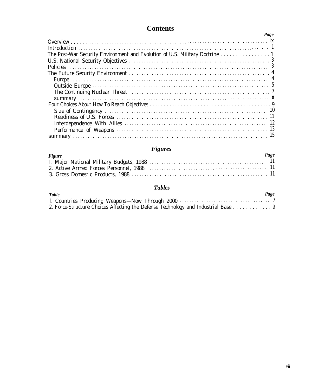# **Contents**

|                                                                             | Page |
|-----------------------------------------------------------------------------|------|
|                                                                             |      |
|                                                                             |      |
| The Post-War Security Environment and Evolution of U.S. Military Doctrine 1 |      |
|                                                                             |      |
|                                                                             |      |
|                                                                             |      |
|                                                                             |      |
|                                                                             |      |
|                                                                             |      |
|                                                                             |      |
|                                                                             |      |
|                                                                             |      |
|                                                                             |      |
|                                                                             |      |
|                                                                             |      |
|                                                                             |      |

## *Figures*

| Figure | Page |
|--------|------|
|        |      |
|        |      |
|        |      |

## *Tables*

| <b>Table</b>                                                                      | Page |
|-----------------------------------------------------------------------------------|------|
|                                                                                   |      |
| 2. Force-Structure Choices Affecting the Defense Technology and Industrial Base 9 |      |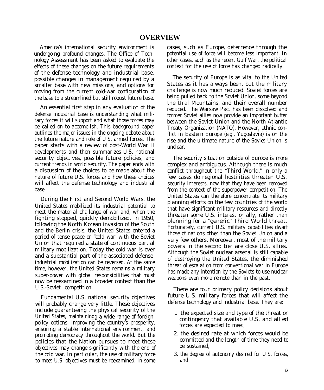America's international security environment is undergoing profound changes. The Office of Technology Assessment has been asked to evaluate the effects of these changes on the future requirements of the defense technology and industrial base, possible changes in management required by a smaller base with new missions, and options for moving from the current cold-war configuration of the base to a streamlined but still robust future base.

An essential first step in any evaluation of the defense industrial base is understanding what military forces it will support and what those forces may be called on to accomplish. This background paper outlines the major issues in the ongoing debate about the future nature and role of U.S. armed forces. The paper starts with a review of post-World War II developments and then summarizes U.S. national security objectives, possible future policies, and current trends in world security. The paper ends with a discussion of the choices to be made about the nature of future U.S. forces and how these choices will affect the defense technology and industrial base.

During the First and Second World Wars, the United States mobilized its industrial potential to meet the material challenge of war and, when the fighting stopped, quickly demobilized. In 1950, following the North Korean invasion of the South and the Berlin crisis, the United States entered a period of tense peace or "cold war' with the Soviet Union that required a state of continuous partial military mobilization. Today the cold war is over and a substantial part of the associated defenseindustrial mobilization can be reversed. At the same time, however, the United States remains a military super-power with global responsibilities that must now be reexamined in a broader context than the U.S.-Soviet competition.

Fundamental U.S. national security objectives will probably change very little. These objectives include guaranteeing the physical security of the United States, maintainingg a wide range of foreignpolicy options, improving the country's prosperity, ensuring a stable international environment, and promoting democracy throughout the world. But the policies that the Nation pursues to meet these objectives may change significantly with the end of the cold war. In particular, the use of military force to meet U.S. objectives must be reexamined. In some

cases, such as Europe, deterrence through the potential use of force will become less important. In other cases, such as the recent Gulf War, the political context for the use of force has changed radically.

The security of Europe is as vital to the United States as it has always been, but the military challenge is now much reduced. Soviet forces are being pulled back to the Soviet Union, some beyond the Ural Mountains, and their overall number reduced. The Warsaw Pact has been dissolved and former Soviet allies now provide an important buffer between the Soviet Union and the North Atlantic Treaty Organization (NATO). However, ethnic conflict in Eastern Europe (e.g., Yugoslavia) is on the rise and the ultimate nature of the Soviet Union is unclear.

The security situation outside of Europe is more complex and ambiguous. Although there is much conflict throughout the "Third World," in only a few cases do regional hostilities threaten U.S. security interests, now that they have been removed from the context of the superpower competition. The United States can therefore concentrate its military planning efforts on the few countries of the world that have significant military resources and directly threaten some U.S. interest or ally, rather than planning for a "generic" Third World threat. Fortunately, current U.S. military capabilities dwarf those of nations other than the Soviet Union and a very few others. Moreover, most of the military powers in the second tier are close U.S. allies. Although the Soviet nuclear arsenal is still capable of destroying the United States, the diminished threat of escalation from conventional war in Europe has made any intention by the Soviets to use nuclear weapons even more remote than in the past.

There are four primary policy decisions about future U.S. military forces that will affect the defense technology and industrial base. They are:

- 1. the expected size and type of the threat or contingency that available U.S. and allied forces are expected to meet,
- 2. the desired rate at which forces would be committed and the length of time they need to be sustained,
- 3. the degree of autonomy desired for U.S. forces, and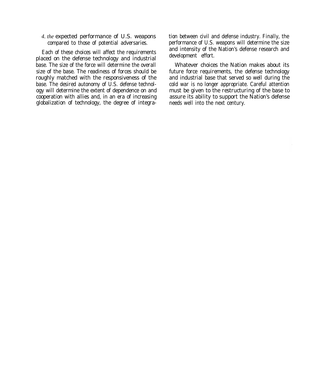#### *4. the* expected performance of U.S. weapons compared to those of potential adversaries.

Each of these choices will affect the requirements placed on the defense technology and industrial base. The size of the force will determine the overall size of the base. The readiness of forces should be roughly matched with the responsiveness of the base. The desired autonomy of U.S. defense technology will determine the extent of dependence on and cooperation with allies and, in an era of increasing globalization of technology, the degree of integration between civil and defense industry. Finally, the performance of U.S. weapons will determine the size and intensity of the Nation's defense research and development effort.

Whatever choices the Nation makes about its future force requirements, the defense technology and industrial base that served so well during the cold war is no longer appropriate. Careful attention must be given to the restructuring of the base to assure its ability to support the Nation's defense needs well into the next century.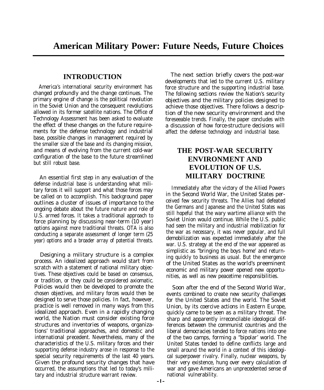## **INTRODUCTION**

America's international security environment has changed profoundly and the change continues. The primary engine of change is the political revolution in the Soviet Union and the consequent revolutions allowed in its former satellite nations. The Office of Technology Assessment has been asked to evaluate the effect of these changes on the future requirements for the defense technology and industrial base, possible changes in management required by the smaller size of the base and its changing mission, and means of evolving from the current cold-war configuration of the base to the future streamlined but still robust base.

An essential first step in any evaluation of the defense industrial base is understanding what military forces it will support and what those forces may be called on to accomplish. This background paper outlines a cluster of issues of importance to the ongoing debate about the future nature and role of U.S. armed forces. It takes a traditional approach to force planning by discussing near-term (10 year) options against more traditional threats. OTA is also conducting a separate assessment of longer term (25 year) options and a broader array of potential threats.

Designing a military structure is a complex process. An idealized approach would start from scratch with a statement of national military objectives. These objectives could be based on consensus, or tradition, or they could be considered axiomatic. Policies would then be developed to promote the chosen objectives, and military forces would then be designed to serve those policies. In fact, however, practice is well removed in many ways from this idealized approach. Even in a rapidly changing world, the Nation must consider existing force structures and inventories of weapons, organizations' traditional approaches, and domestic and international precedent. Nevertheless, many of the characteristics of the U.S. military forces and their supporting defense industry arose in response to the special security requirements of the last 40 years. Given the profound security changes that have occurred, the assumptions that led to today's military and industrial structure warrant review.

The next section briefly covers the post-war developments that led to the current U.S. military force structure and the supporting industrial base. The following sections review the Nation's security objectives and the military policies designed to achieve those objectives. There follows a description of the new security environment and the foreseeable trends. Finally, the paper concludes with a discussion of how force-structure decisions will affect the defense technology and industrial base.

## **THE POST-WAR SECURITY ENVIRONMENT AND EVOLUTION OF U.S. MILITARY DOCTRINE**

Immediately after the victory of the Allied Powers in the Second World War, the United States perceived few security threats. The Allies had defeated the Germans and Japanese and the United States was still hopeful that the wary wartime alliance with the Soviet Union would continue. While the U.S. public had seen the military and industrial mobilization for the war as necessary, it was never popular, and full demobilization was expected immediately after the war. U.S. strategy at the end of the war appeared as simplistic as "bringing the boys home' and returning quickly to business as usual. But the emergence of the United States as the world's preeminent economic and military power opened new opportunities, as well as new peacetime responsibilities.

Soon after the end of the Second World War, events combined to create new security challenges for the United States and the world. The Soviet Union, by its coercive actions in Eastern Europe, quickly came to be seen as a military threat. The sharp and apparently irreconcilable ideological differences between the communist countries and the liberal democracies tended to force nations into one of the two camps, forming a ''bipolar' world. The United States tended to define conflicts large and small around the world in a context of this ideological superpower rivalry. Finally, nuclear weapons, by their very existence, hung over every calculation of war and gave Americans an unprecedented sense of national vulnerability.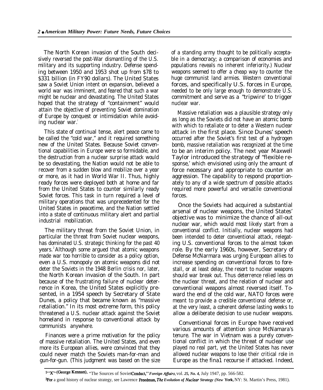The North Korean invasion of the South decisively reversed the post-War dismantling of the U.S. military and its supporting industry. Defense spending between 1950 and 1953 shot up from \$78 to \$331 billion (in FY90 dollars). The United States saw a Soviet Union intent on expansion, believed a world war was imminent, and feared that such a war might be nuclear and devastating. The United States hoped that the strategy of "containment" would attain the objective of preventing Soviet domination of Europe by conquest or intimidation while avoiding nuclear war.

This state of continual tense, alert peace came to be called the "cold war," and it required something new of the United States. Because Soviet conventional capabilities in Europe were so formidable, and the destruction from a nuclear surprise attack would be so devastating, the Nation would not be able to recover from a sudden blow and mobilize over a year or more, as it had in World War II. Thus, highly ready forces were deployed both at home and far from the United States to counter similarly ready Soviet forces. This task in turn required a level of military operations that was unprecedented for the United States in peacetime, and the Nation settled into a state of continuous military alert and partial industrial mobilization.

The military threat from the Soviet Union, in particular the threat from Soviet nuclear weapons, has dominated U.S. strategic thinking for the past 40 years. <sup>2</sup>Although some argued that atomic weapons made war too horrible to consider as a policy option, even a U.S. monopoly on atomic weapons did not deter the Soviets in the 1948 Berlin crisis nor, later, the North Korean invasion of the South. In part because of the frustrating failure of nuclear deterrence in Korea, the United States explicitly presented, in a 1954 speech by Secretary of State Dunes, a policy that became known as "massive retaliation." In its most extreme form, this policy threatened a U.S. nuclear attack against the Soviet homeland in response to conventional attack by communists anywhere.

Finances were a prime motivation for the policy of massive retaliation. The United States, and even more its European allies, were convinced that they could never match the Soviets man-for-man and gun-for-gun. (This judgment was based on the size

of a standing army thought to be politically acceptable in a democracy; a comparison of economies and populations reveals no inherent inferiority.) Nuclear weapons seemed to offer a cheap way to counter the huge communist land armies. Western conventional forces, and specifically U.S. forces in Europe, needed to be only large enough to demonstrate U.S. commitment and serve as a "tripwire' to trigger nuclear war.

Massive retaliation was a plausible strategy only as long as the Soviets did not have an atomic bomb with which to retaliate or to deter a Western nuclear attack in the first place. Since Dunes' speech occurred after the Soviet's first test of a hydrogen bomb, massive retaliation was recognized at the time to be an interim policy. The next year Maxwell Taylor introduced the strategy of "flexible response,' which envisioned using only the amount of force necessary and appropriate to counter an aggression. The capability to respond proportionately to any of a wide spectrum of possible attacks required more powerful and versatile conventional forces.

Once the Soviets had acquired a substantial arsenal of nuclear weapons, the United States' objective was to minimize the chance of all-out nuclear war, which would most likely start from a conventional conflict. Initially, nuclear weapons had been intended to deter conventional attack, relegating U.S. conventional forces to the almost token role. By the early 1960s, however, Secretary of Defense McNarmara was urging European allies to increase spending on conventional forces to forestall, or at least delay, the resort to nuclear weapons should war break out. Thus deterrence relied less on the nuclear threat, and the relation of nuclear and conventional weapons almost reversed itself. Toward the end of the cold war, NATO forces were meant to provide a credible conventional defense or, at the very least, a coherent defense lasting weeks to allow a deliberate decision to use nuclear weapons.

Conventional forces in Europe have received various amounts of attention since McNamara's tenure. The war in Vietnam was a purely conventional conflict in which the threat of nuclear use played no real part, yet the United States has never allowed nuclear weapons to lose their critical role in Europe as the fina1 recourse if attacked. Indeed,

1"X" (George Kennan), "The Sources of Soviet Conduct," Foreign Affairs, vol. 25, No. 4, July 1947, pp. 566-582.

<sup>&</sup>lt;sup>2</sup>For a good history of nuclear strategy, see Lawrence Freedman, The Evolution of Nuclear Strategy (New York, NY: St. Martin's Press, 1981).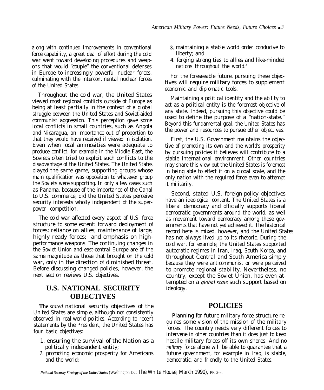along with continued improvements in conventional force capability, a great deal of effort during the cold war went toward developing procedures and weapons that would "couple" the conventional defenses in Europe to increasingly powerful nuclear forces, culminating with the intercontinental nuclear forces of the United States.

Throughout the cold war, the United States viewed most regional conflicts outside of Europe as being at least partially in the context of a global struggle between the United States and Soviet-aided communist aggression. This perception gave some local conflicts in small countries, such as Angola and Nicaragua, an importance out of proportion to that they would have received if viewed in isolation. Even when local animosities were adequate to produce conflict, for example in the Middle East, the Soviets often tried to exploit such conflicts to the disadvantage of the United States. The United States played the same game, supporting groups whose main qualification was opposition to whatever group the Soviets were supporting. In only a few cases such as Panama, because of the importance of the Canal to U.S. commerce, did the United States perceive security interests wholly independent of the superpower competition.

The cold war affected every aspect of U.S. force structure to some extent: forward deployment of forces; reliance on allies; maintenance of large, highly ready forces; and emphasis on highperformance weapons. The continuing changes in the Soviet Union and east-central Europe are of the same magnitude as those that brought on the cold war, only in the direction of diminished threat. Before discussing changed policies, however, the next section reviews U.S. objectives.

## **U.S. NATIONAL SECURITY OBJECTIVES**

**The** *stated* national security objectives of the United States are simple, although not consistently observed in real-world politics. According to recent statements by the President, the United States has four basic objectives:

- 1. ensuring the survival of the Nation as a politically independent entity;
- 2. promoting economic prosperity for Americans and the world;
- **3.** maintaining a stable world order conducive to liberty; and
- 4. forging strong ties to allies and like-minded nations throughout the world.<sup>3</sup>

For the foreseeable future, pursuing these objectives will require military forces to supplement economic and diplomatic tools.

Maintaining a political identity and the ability to act as a political entity is the foremost objective of any state. Indeed, pursuing this objective could be used to define the purpose of a "nation-state." Beyond this fundamental goal, the United States has the power and resources to pursue other objectives.

First, the U.S. Government maintains the objective of promoting its own and the world's prosperity by pursuing policies it believes will contribute to a stable international environment. Other countries may share this view but the United States is foremost in being able to effect it on a global scale, and the only nation with the required force even to attempt it militarily.

Second, stated U.S. foreign-policy objectives have an ideological content. The United States is a liberal democracy and officially supports liberal democratic governments around the world, as well as movement toward democracy among those governments that have not yet achieved it. The historical record here is mixed, however, and the United States has not always lived up to its rhetoric. During the cold war, for example, the United States supported autocratic regimes in Iran, Iraq, South Korea, and throughout Central and South America simply because they were anticommunist or were perceived to promote regional stability. Nevertheless, no country, except the Soviet Union, has even attempted on a *global scale* such support based on ideology.

### **POLICIES**

Planning for future military force structure requires some vision of the mission of the military forces. The country needs very different forces to intervene in other countries than it does just to keep hostile military forces off its own shores. And no *military* force alone will be able to guarantee that a future government, for example in Iraq, is stable, democratic, and friendly to the United States.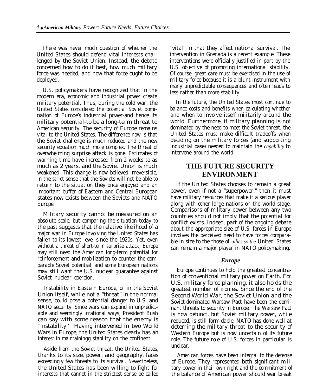There was never much question of whether the United States should defend vital interests challenged by the Soviet Union. Instead, the debate concerned how to do it best, how much military force was needed, and how that force ought to be deployed.

U.S. policymakers have recognized that in the modern era, economic and industrial power create military potential. Thus, during the cold war, the United States considered the potential Soviet domination of Europe's industrial power-and hence its military potential-to be a long-term threat to American security. The security of Europe remains vital to the United States. The difference now is that the Soviet challenge is much reduced and the new security equation much more complex. The threat of overwhelming surprise attack is gone. Estimates of warning time have increased from 2 weeks to as much as 2 years, and the Soviet Union is much weakened. This change is now believed irreversible, in the strict sense that the Soviets will not be able to return to the situation they once enjoyed and an important buffer of Eastern and Central European states now exists between the Soviets and NATO Europe.

Military security cannot be measured on an absolute scale, but comparing the situation today to the past suggests that the relative likelihood of a major war in Europe involving the United States has fallen to its lowest level since the 1920s. Yet, even without a threat of short-term surprise attack, Europe may still need the American long-term potential for reinforcement and mobilization to counter the comparable Soviet potential, and some European nations may still want the U.S. nuclear guarantee against Soviet nuclear coercion.

Instability in Eastern Europe, or in the Soviet Union itself, while not a "threat" in the normal sense, could pose a potential danger to U.S. and NATO security. Since wars can expand in unpredictable and seemingly irrational ways, President Bush can say with some reason that the enemy is ''instability.' Having intervened in two World Wars in Europe, the United States clearly has an interest in maintainingg stability on the continent.

Aside from the Soviet threat, the United States, thanks to its size, power, and geography, faces exceedingly few threats to its survival. Nevertheless, the United States has been willing to fight for interests that cannot in the strictest sense be called

"vital" in that they affect national survival. The intervention in Grenada is a recent example. These interventions were officially justified in part by the U.S. objective of promoting international stability. Of course, great care must be exercised in the use of military force because it is a blunt instrument with many unpredictable consequences and often leads to less rather than more stability.

In the future, the United States must continue to balance costs and benefits when calculating whether and when to involve itself militarily around the world. Furthermore, if military planning is not dominated by the need to meet the Soviet threat, the United States must make difficult tradeoffs when deciding on the military forces (and supporting industrial base) needed to maintain the *capability* to intervene around the world.

### **THE FUTURE SECURITY ENVIRONMENT**

If the United States chooses to remain a great power, even if not a "superpower," then it must have military resources that make it a serious player along with other large nations on the world stage. Comparisons of military power between any two countries should not imply that the potential for conflict exists. Indeed, part of the ongoing debate about the appropriate size of U.S. forces in Europe involves the perceived need to have forces comparable in size to the those of *allies so the* United States can remain a major player in NATO policymaking.

#### *Europe*

Europe continues to hold the greatest concentration of conventional military power on Earth. For U.S. military force planning, it also holds the greatest number of ironies. Since the end of the Second World War, the Soviet Union and the Soviet-dominated Warsaw Pact have been the dominant threats to security in Europe. The Warsaw Pact is now defunct, but Soviet military power, while reduced, is still formidable. NATO has done well at deterring the military threat to the security of Western Europe but is now uncertain of its future role. The future role of U.S. forces in particular is unclear.

American forces have been integral to the defense of Europe. They represented both significant military power in their own right and the commitment of the balance of American power should war break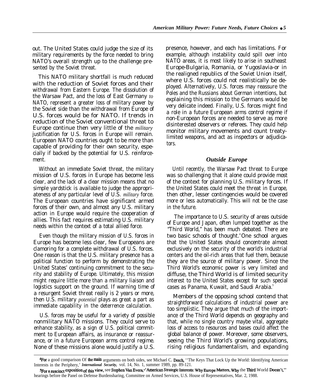out. The United States could judge the size of its military requirements by the force needed to bring NATO's overall strength up to the challenge presented by the Soviet threat.

This NATO military shortfall is much reduced with the reduction of Soviet forces and their withdrawal from Eastern Europe. The dissolution of the Warsaw Pact, and the loss of East Germany *to* NATO, represent a greater loss of military power by the Soviet side than the withdrawal from Europe of U.S. forces would be for NATO. If trends in reduction of the Soviet conventional threat to Europe continue then very little of the *military* justification for U.S. forces in Europe will remain. European NATO countries ought to be more than capable of providing for their own security, especially if backed by the potential for U.S. reinforcement.

Without an immediate Soviet threat, the military mission of U.S. forces in Europe has become less clear, and the lack of a clear mission means that no simple yardstick is available to judge the appropriateness of any particular level of U.S. *military* force. The European countries have significant armed forces of their own, and almost any U.S. military action in Europe would require the cooperation of allies. This fact requires estimating U.S. military needs within the context of a total allied force.

Even though the military mission of U.S. forces in Europe has become less clear, few Europeans are clamoring for a complete withdrawal of U.S. forces. One reason is that the U.S. military presence has a political function to perform by demonstrating the United States' continuing commitment to the security and stability of Europe. Ultimately, this mission might require little more than a military liaison and logistics support on the ground. If warning time of a resurgent Soviet threat really is 2 years or more, then U.S. military *potential* plays as great a part as immediate capability in the deterrence calculation.

U.S. forces may be useful for a variety of possible nonmilitary NATO missions. They could serve to enhance stability, as a sign of U.S. political commitment to European affairs, as insurance or reassurance, or in a future European arms control regime. None of these missions alone would justify a U.S. presence, however, and each has limitations. For example, although instability could spill over into NATO areas, it is most likely to arise in southeast Europe-Bulgaria, Romania, or Yugoslavia-or in the realigned republics of the Soviet Union itself, where U.S. forces could not realistically be deployed. Alternatively, U.S. forces may reassure the Poles and the Russians about German intentions, but explaining this mission to the Germans would be very delicate indeed. Finally, U.S. forces might find a role in a future European arms control regime if non-European forces are needed to serve as more disinterested observers or referees. They could help monitor military movements and count treatylimited weapons, and act as inspectors or adjudicators.

### *Outside Europe*

Until recently, the Warsaw Pact threat to Europe was so challenging that it alone could provide most of the context for planning U.S. military forces. If the United States could meet the threat in Europe, then other, lesser contingencies would be covered more or less automatically. This will not be the case in the future.

The importance to U.S. security of areas outside of Europe and Japan, often lumped together as the "Third World," has been much debated. There are two basic schools of thought.<sup>4</sup>One school argues that the United States should concentrate almost exclusively on the security of the world's industrial centers and the oil-rich areas that fuel them, because they are the source of military power. Since the Third World's economic power is very limited and diffuse, the Third World is of limited security interest to the United States except for such special cases as Panama, Kuwait, and Saudi Arabia.<sup>5</sup>

Members of the opposing school contend that straightforward calculations of industrial power are too simplistic. They argue that much of the importance of the Third World depends on geography and that, while no single country maybe vital, aggregate loss of access to resources and bases could affect the global balance of power. Moreover, some observers, seeing the Third World's growing populations, rising religious fundamentalism, and expanding

**<sup>4</sup>For** a good comparison Of the main arguments on both sides, see Michael C. Desch, "The Keys That Lock Up the World: Identifying American Interests in the Periphery,' *International Security,* vol. 14, No. 1, summer 1989, pp. 89-121.

<sup>5</sup>For a suscinct exposition of this view, see Stephen Van Evera, ' American Strategic Interests: Why Europe Matters, Why the Third World Doesn't," hearings before the Panel on Defense Burdensharing, Committee on Armed Services, U.S. House of Representatives, Mar. 2, 1988.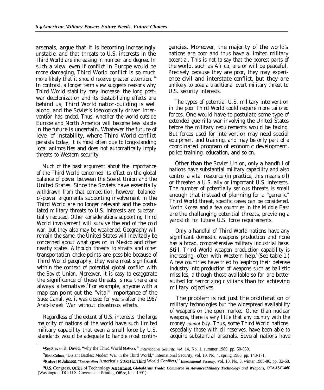arsenals, argue that it is becoming increasingly unstable, and that threats to U.S. interests in the Third World are increasing in number and degree. In such a view, even if conflict in Europe would be more damaging, Third World conflict is so much more likely that it should receive greater attention. <sup>G-</sup> In contrast, a longer term view suggests reasons why Third World stability may increase: the long postwar decolonization and its destabilizing effects are behind us, Third World nation-building is well along, and the Soviet's ideologically driven intervention has ended. Thus, whether the world outside Europe and North America will become less stable in the future is uncertain. Whatever the future of level of instability, where Third World conflict persists today, it is most often due to long-standing local animosities and does not automatically imply threats to Western security.

Much of the past argument about the importance of the Third World concerned its effect on the global balance of power between the Soviet Union and the United States. Since the Soviets have essentially withdrawn from that competition, however, balanceof-power arguments supporting involvement in the Third World are no longer relevant and the postulated military threats to U.S. interests are substantially reduced. Other considerations supporting Third World involvement will survive the end of the cold war, but they also may be weakened. Geography will remain the same: the United States will inevitably be concerned about what goes on in Mexico and other nearby states. Although threats to straits and other transportation choke-points are possible because of Third World geography, they were most significant within the context of potential global conflict with the Soviet Union. Moreover, it is easy to exaggerate the significance of these threats, since there are always alternatives.<sup>8</sup>For example, anyone with a map can point out the "vital" importance of the Suez Canal, yet it was closed for years after the 1967 Arab-Israeli War without disastrous effects.

Regardless of the extent of U.S. interests, the large majority of nations of the world have such limited military capability that even a small force by U.S. standards would be adequate to handle most contingencies. Moreover, the majority of the world's nations are poor and thus have a limited military potential. This is not to say that the poorest parts of the world, such as Africa, are or will be peaceful. Precisely because they are poor, they may experience civil and interstate conflict, but they are unlikely to pose a traditional overt military threat to U.S. security interests.

The types of potential U.S. military intervention in the poor Third World could require more tailored forces. One would have to postulate some type of extended guerrilla war involving the United States before the military requirements would be taxing. But forces used for intervention may need special equipment and training, and may be only part of a coordinated program of economic development, police training, education, and so on.

Other than the Soviet Union, only a handful of nations have substantial military capability and also control a vital resource (in practice, this means oil) or threaten a U.S. ally or important U.S. interests. The number of potentially serious threats is small enough that instead of planning for a "generic" Third World threat, specific cases can be considered. North Korea and a few countries in the Middle East are the challenging potential threats, providing a yardstick for future U.S. force requirements.

Only a handful of Third World nations have any significant domestic weapons production and none has a broad, comprehensive military industrial base. Still, Third World weapon production capability is increasing, often with Western help. (See table 1.) A few countries have tried to leapfrog their defense industry into production of weapons such as ballistic missiles, although those available so far are better suited for terrorizing civilians than for achieving military objectives.

The problem is not just the proliferation of military technologies but the widespread availability of weapons on the open market. Other than nuclear weapons, there is very little that any country with the money *cannot* buy. Thus, some Third World nations, especially those with oil reserves, have been able to acquire substantial arsenals. Several nations have

<sup>6</sup>See Steven R. David, "why the Third World Matters," *International Security, vol.* 14, No. 1, summer 1989, pp. 50-850.

<sup>7</sup>Eliot Cohen, "Distant Battles: Modem War in the Tbird World," International Security, vol. 10, No. 4, spring 1986, pp. 143-171.

<sup>&</sup>lt;sup>8</sup>Robert H. Johnson, "Exaggerating America's Stakes in Third World Conflicts," International Security, vol. 10, No. 3, winter 1985-86, pp. 32-68.

<sup>%</sup>J.S. Congress, OffIce of Technology AssessrnenL *GlobalArms Trade: Commerce in AdvancedMilitary Technology and Weapons,* OTA-ISC-460 (Washington, DC: U.S. Government Printing Office, June 1991).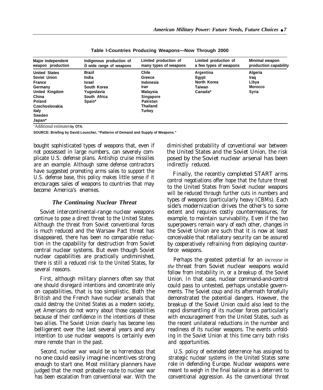| <b>Major independent</b><br>weapon production | Indigenous production of<br>a wide range of weapons | Limited production of<br>many types of weapons | Limited production of<br>a few types of weapons | Minimal weapon<br>production capability |
|-----------------------------------------------|-----------------------------------------------------|------------------------------------------------|-------------------------------------------------|-----------------------------------------|
| <b>United States</b>                          | <b>Brazil</b>                                       | Chile                                          | Argentina                                       | Algeria                                 |
| Soviet Union                                  | India                                               | Greece                                         | Egypt                                           | Iraq                                    |
| France                                        | <b>Israel</b>                                       | Indonesia                                      | North Korea                                     | Libya                                   |
| Germany                                       | South Korea                                         | Iran                                           | Taiwan                                          | <b>Morocco</b>                          |
| United Kingdom                                | Yugoslavia                                          | Malaysia                                       | Canada*                                         | Syria                                   |
| China                                         | South Africa                                        | <b>Singapore</b>                               |                                                 |                                         |
| Poland                                        | Spain*                                              | Pakistan                                       |                                                 |                                         |
| Czechoslovakia                                |                                                     | <b>Thailand</b>                                |                                                 |                                         |
| Italy                                         |                                                     | Turkey                                         |                                                 |                                         |
| Sweden                                        |                                                     |                                                |                                                 |                                         |
| Japan*                                        |                                                     |                                                |                                                 |                                         |

**Table l-Countries Producing Weapons—Now Through 2000**

'Additional estimates **by OTA.**

**SOURCE: Briefing by David Louscher, "Patterns of Demand and Supply of Weapons."**

bought sophisticated types of weapons that, even if not possessed in large numbers, can severely complicate U.S. defense plans. Antiship cruise missiles are an example. Although some defense contractors have suggested promoting arms sales to support the U.S. defense base, this policy makes little sense if it encourages sales of weapons to countries that may become America's enemies.

#### *The Continuing Nuclear Threat*

Soviet intercontinental-range nuclear weapons continue to pose a direct threat to the United States. Although the threat from Soviet conventional forces is much reduced and the Warsaw Pact threat has disappeared, there has been no comparable reduction in the capability for destruction from Soviet central nuclear systems. But even though Soviet nuclear capabilities are practically undiminished, there is still a reduced risk to the United States, for several reasons.

First, although military planners often say that one should disregard intentions and concentrate only on capabilities, that is too simplistic. Both the British and the French have nuclear arsenals that could destroy the United States as a modern society, yet Americans do not worry about those capabilities because of their confidence in the intentions of these two allies. The Soviet Union clearly has become less belligerent over the last several years and any intention to use nuclear weapons is certainly even more remote than in the past.

Second, nuclear war would be so horrendous that no one could easily imagine incentives strong enough to start one. Most military planners have judged that the most probable route to nuclear war has been escalation from conventional war. With the

diminished probability of conventional war between the United States and the Soviet Union, the risk posed by the Soviet nuclear arsenal has been indirectly reduced.

Finally, the recently completed START arms control negotiations offer hope that the future threat to the United States from Soviet nuclear weapons will be reduced through further cuts in numbers and types of weapons (particularly heavy ICBMs). Each side's modernization drives the other's to some extent and requires costly countermeasures, for example, to maintain survivability. Even if the two superpowers remain wary of each other, changes in the Soviet Union are such that it is now at least conceivable that retaliatory security can be assured by cooperatively refraining from deploying counterforce weapons.

Perhaps the greatest potential for an *increase in the* threat from Soviet nuclear weapons would follow from instability in, or a breakup of, the Soviet Union. In that case, nuclear command-and-control could pass to untested, perhaps unstable governments. The Soviet coup and its aftermath forcefully demonstrated the potential dangers. However, the breakup of the Soviet Union could also lead to the rapid dismantling of its nuclear forces particularly with encouragement from the United States, such as the recent unilateral reductions in the number and readiness of its nuclear weapons. The events unfolding in the Soviet Union at this time carry both risks and opportunities.

U.S. policy of extended deterrence has assigned to strategic nuclear systems in the United States some role in defending Europe. Nuclear weapons were meant to weigh in the final balance as a deterrent to conventional aggression. As the conventional threat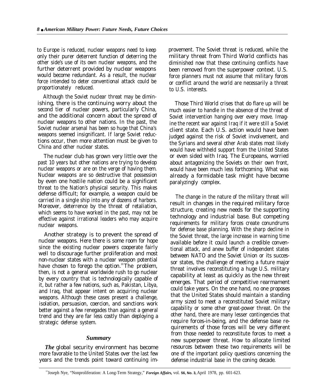to Europe is reduced, nuclear weapons need to keep only their purer deterrent function of deterring the other side's use of its own nuclear weapons, and the further deterrent provided by nuclear weapons would become redundant. As a result, the nuclear force intended to deter conventional attack could be proportionately reduced.

Although the Soviet nuclear threat may be diminishing, there is the continuing worry about the second tier of nuclear powers, particularly China, and the additional concern about the spread of nuclear weapons to other nations. In the past, the Soviet nuclear arsenal has been so huge that China's weapons seemed insignificant. If large Soviet reductions occur, then more attention must be given to China and other nuclear states.

The nuclear club has grown very little over the past 10 years but other nations are trying to develop nuclear weapons or are on the verge of having them. Nuclear weapons are so destructive that possession by even one hostile nation could be a significant threat to the Nation's physical security. This makes defense difficult; for example, a weapon could be carried in a single ship into any of dozens of harbors. Moreover, deterrence by the threat of retaliation, which seems to have worked in the past, may not be effective against irrational leaders who may acquire nuclear weapons.

Another strategy is to prevent the spread of nuclear weapons. Here there is some room for hope since the existing nuclear powers cooperate fairly well to discourage further proliferation and most non-nuclear states with a nuclear weapon potential have chosen to forego the option.<sup>10</sup>The problem, then, is not a general worldwide rush to go nuclear by every country that is technologically capable of it, but rather a few nations, such as, Pakistan, Libya, and Iraq, that appear intent on acquiring nuclear weapons. Although these cases present a challenge, isolation, persuasion, coercion, and sanctions work better against a few renegades than against a general trend and they are far less costly than deploying a strategic defense system.

### *Summary*

*The* global security environment has become more favorable to the United States over the last few years and the trends point toward continuing improvement. The Soviet threat is reduced, while the military threat from Third World conflicts has diminished now that these continuing conflicts have been removed from the superpower context. U.S. force planners must not assume that military forces or conflict around the world are necessarily a threat to U.S. interests.

Those Third World crises that do flare up will be much easier to handle in the absence of the threat of Soviet intervention hanging over every move. Imagine the recent war against Iraq if it were still a Soviet client state. Each U.S. action would have been judged against the risk of Soviet involvement, and the Syrians and several other Arab states most likely would have withheld support from the United States or even sided with Iraq. The Europeans, worried about antagonizing the Soviets on their own front, would have been much less forthcoming. What was already a formidable task might have become paralyzingly complex.

The change in the nature of the military threat will result in changes in the required military force structure, creating new needs for the supporting technology and industrial base. But competing requirements for military forces create conundrums for defense base planning. With the sharp decline in the Soviet threat, the large increase in warning time available before it could launch a credible conventional attack, and anew buffer of independent states between NATO and the Soviet Union or its successor states, the challenge of meeting a future major threat involves reconstituting a huge U.S. military capability at least as quickly as the new threat emerges. That period of competitive rearmament could take years. On the one hand, no one proposes that the United States should maintain a standing army sized to meet a reconstituted Soviet military capability or some other great-power threat. On the other hand, there are many lesser contingencies that require forces-in-being, and the defense base requirements of those forces will be very different from those needed to reconstitute forces to meet a new superpower threat. How to allocate limited resources between these two requirements will be one of the important policy questions concerning the defense industrial base in the coning decade.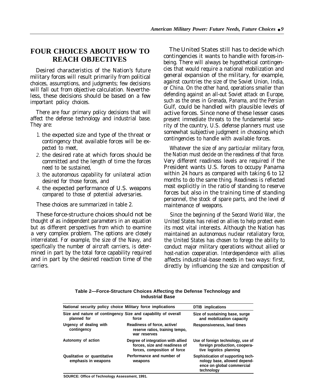## **FOUR CHOICES ABOUT HOW TO REACH OBJECTIVES**

Desired characteristics of the Nation's future military forces will result primarily from political choices, assumptions, and judgments; few decisions will fall out from objective calculation. Nevertheless, these decisions should be based on a few important policy choices.

There are four primary policy decisions that will affect the defense technology and industrial base. They are:

- 1. the expected size and type of the threat or contingency that available forces will be expected to meet,
- *2.* the desired rate at which forces should be committed and the length of time the forces need to be sustained,
- *3.* the autonomous capability for unilateral action desired for those forces, and
- *4.* the expected performance of U.S. weapons compared to those of potential adversaries.

These choices are summarized in table 2.

These force-structure choices should not be thought of as independent parameters in an equation but as different perspectives from which to examine a very complex problem. The options are closely interrelated. For example, the size of the Navy, and specifically the number of aircraft carriers, is determined in part by the total force capability required and in part by the desired reaction time of the carriers.

The United States still has to decide which contingencies it wants to handle with forces-inbeing. There will always be hypothetical contingencies that would require a national mobilization and general expansion of the military, for example, against countries the size of the Soviet Union, India, or China. On the other hand, operations smaller than defending against an all-out Soviet attack on Europe, such as the ones in Grenada, Panama, and the Persian Gulf, could be handled with plausible levels of active forces. Since none of these lesser cases present immediate threats to the fundamental security of the country, U.S. defense planners must use somewhat subjective judgment in choosing which contingencies to handle with available forces.

Whatever the size of any particular military force, the Nation must decide on the readiness of that force. Very different readiness levels are required if the President wants U.S. forces to occupy Panama within 24 hours as compared with taking 6 to 12 months to do the same thing. Readiness is reflected most explicitly in the ratio of standing to reserve forces but also in the training time of standing personnel, the stock of spare parts, and the level of maintenance of weapons.

Since the beginning of the Second World War, the United States has relied on allies to help protect even its most vital interests. Although the Nation has maintained an autonomous nuclear retaliatory force, the United States has chosen to forego the ability to conduct major military operations without allied or host-nation cooperation. Interdependence with allies affects industrial-base needs in two ways: first, directly by influencing the size and composition of

| Table 2—Force-Structure Choices Affecting the Defense Technology and |  |
|----------------------------------------------------------------------|--|
| <b>Industrial Base</b>                                               |  |

| National security policy choice Military force implications | DTIB implications                                                                                  |                                                                                                               |
|-------------------------------------------------------------|----------------------------------------------------------------------------------------------------|---------------------------------------------------------------------------------------------------------------|
| planned for                                                 | Size and nature of contingency Size and capability of overall<br>force                             | Size of sustaining base, surge<br>and mobilization capacity                                                   |
| Urgency of dealing with<br>contingency                      | Readiness of force, active/<br>reserve ratios, training tempo,<br>war reserves                     | Responsiveness, lead times                                                                                    |
| Autonomy of action                                          | Degree of integration with allied<br>forces, size and readiness of<br>forces, composition of force | Use of foreign technology, use of<br>foreign production, coopera-<br>tive logistics planning                  |
| Qualitative or quantitative<br>emphasis in weapons          | Performance and number of<br>weapons                                                               | Sophistication of supporting tech-<br>nology base, allowed depend-<br>ence on global commercial<br>technoloav |

**SOURCE: Office of Technology Assessment, 1991.**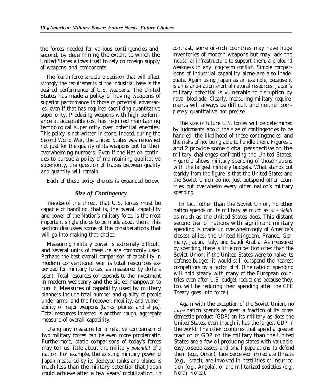the forces needed for various contingencies and, second, by determining the extent to which the United States allows itself to rely on foreign supply of weapons and components.

The fourth force structure decision that will affect strongly the requirements of the industrial base is the desired performance of U.S. weapons. The United States has made a policy of having weapons of superior performance to those of potential adversaries, even if that has required sacrificing quantitative superiority. Producing weapons with high performance at acceptable cost has required maintaining technological superiority over potential enemies. This policy is not written in stone. Indeed, during the Second World War, the United States was renowned not just for the quality of its weapons but for their overwhelming numbers. Even if the Nation continues to pursue a policy of maintaining qualitative superiority, the question of trades between quality and quantity will remain.

Each of these policy choices is expanded below.

### *Size of Contingency*

**The size** of the threat that U.S. forces must be capable of handling, that is, the overall capability and power of the Nation's military force, is the most important single choice to be made about them. This section discusses some of the considerations that will go into making that choice.

Measuring military power is extremely difficult, and several units of measure are commonly used. Perhaps the best overaIl comparison of capability in modern conventional war is total resources expended for military forces, as measured by dollars spent. Total resources corresponds to the investment in modern weaponry and the sidled manpower to run it. Measures of capability used by military planners include total number and quality of people under arms, and the firepower, mobility, and vulnerability of major weapons (tanks, planes, and ships). Total resources invested is another rough, aggregate measure of overall capability.

Using any measure for a relative comparison of two military forces can be even more problematic. Furthermore, static comparisons of today's forces may tell us little about the military *potential* of a nation. For example, the existing military power of Japan measured by its deployed tanks and planes is much less than the military potential that Japan could achieve after a few years' mobilization. In

contrast, some oil-rich countries may have huge inventories of modern weapons but may lack the industrial infrastructure to support them, a profound weakness in any long-term conflict. Simple comparisons of industrial capability alone are also inadequate. Again using Japan as an example, because it is an island-nation short of natural resources, Japan's military potential is vulnerable to disruption by naval blockade. Clearly, measuring military requirements will always be difficult and neither completely quantitative nor precise.

The size of future U.S. forces will be determined by judgments about the size of contingencies to be handled, the likelihood of those contingencies, and the risks of not being able to handle them. Figures 1 and 2 provide some global perspective on the military challenges confronting the United States. Figure 1 shows military spending of those nations with the largest military budgets. What stands out starkly from the figure is that the United States and the Soviet Union do not just outspend other countries but overwhelm every other nation's military spending.

In fact, other than the Soviet Union, no other nation spends on its military as much as *one-eighth* as much as the United States does. This distant second tier of nations with significant military spending is made up overwhelmingly of America's closest allies: the United Kingdom, France, Germany, Japan, Italy, and Saudi Arabia. As measured by spending, there is little competition other than the Soviet Union; if the United States were to halve its defense budget, it would still outspend the nearest competitors by a factor of 4. (The ratio of spending will hold steady with many of the European countries even after U.S. budget reductions because they, too, will be reducing their spending after the CFE Treaty goes into force.)

Again with the exception of the Soviet Union, no *large* nation spends as great a fraction of its gross domestic product (GDP) on its military as does the United States, even though it has the largest GDP in the world. The other countries that spend a greater fraction of GDP on the military than the United States are a few oil-producing states with valuable, easy-to-seize assets and small populations to defend them (e.g., Oman), face perceived immediate threats (e.g., Israel), are involved in hostilities or insurrection (e.g., Angola), or are militarized societies (e.g., North Korea).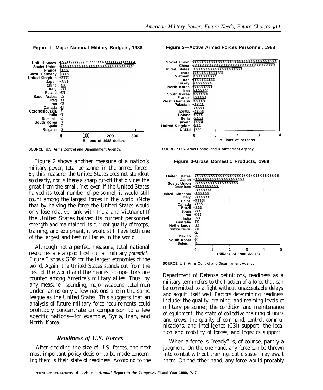**Figure l—Major National Military Budgets, 1988**



**SOURCE: U.S. Arms Control and Disarmament Agency.**

Figure 2 shows another measure of a nation's military power, total personnel in the armed forces. By this measure, the United States does not standout so clearly, nor is there a sharp cut-off that divides the great from the small. Yet even if the United States halved its total number of personnel, it would still count among the largest forces in the world. (Note that by halving the force the United States would only lose relative rank with India and Vietnam.) If the United States halved its current personnel strength and maintained its current quality of troops, training, and equipment, it would still have both one of the largest and best militaries in the world.

Although not a perfect measure, total national resources are a good frost cut at military *potential.* Figure 3 shows GDP for the largest economies of the world. Again, the United States stands out from the rest of the world and the nearest competitors are counted among America's military allies. Thus, by any measure—spending, major weapons, total men under arms-only a few nations are in the same league as the United States. This suggests that an analysis of future military force requirements could profitably concentrate on comparison to a few specific nations—for example, Syria, Iran, and North Korea.

### *Readiness of U.S. Forces*

After deciding the size of U.S. forces, the next most important policy decision to be made concerning them is their state of readiness. According to the

**Figure 2—Active Armed Forces Personnel, 1988**



**SOURCE: U.S. Arms Control and Disarmament Agency.**

**Figure 3-Gross Domestic Products, 1988**



**SOURCE: U.S. Arms Control and Disarmament Agency.**

Department of Defense definitions, readiness as a military term refers to the fraction of a force that can be committed to a fight without unacceptable delays and acquit itself well. Factors determining readiness include: the quality, training, and reaming levels of military personnel; the condition and maintenance of equipment; the state of collective training of units and crews; the quality of command, control, communications, and intelligence (C3I) support; the location and mobility of forces; and logistics support.

When a force is "ready" is, of course, partly a judgment. On the one hand, any force can be thrown into combat without training, but disaster may await them. On the other hand, any force would probably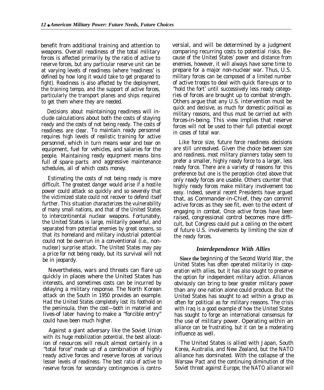benefit from additional training and attention to weapons. Overall readiness of the total military forces is affected primarily by the ratio of active to reserve forces, but any particular reserve unit can be at varying levels of readiness (where 'readiness' is defined by how long it would take to get prepared to fight). Readiness is also affected by the deployment, the training tempo, and the support of active forces, particularly the transport planes and ships required to get them where they are needed.

Decisions about maintainingg readiness will include calculations about both the costs of staying ready and the costs of not being ready. The costs of readiness are clear. To maintain ready personnel requires high levels of realistic training for active personnel, which in turn means wear and tear on equipment, fuel for vehicles, and salaries for the people. Maintaining ready equipment means bins full of spare parts and aggressive maintenance schedules, all of which costs money.

Estimating the costs of not being ready is more difficult. The greatest danger would arise if a hostile power could attack so quickly and so severely that the victimized state could not recover to defend itself further. This situation characterizes the vulnerability of many small nations, and that of the United States to intercontinental nuclear weapons. Fortunately, the United States is large, militarily powerful, and separated from potential enemies by great oceans, so that its homeland and military industrial potential could not be overrun in a conventional (i.e., nonnuclear) surprise attack. The United States may pay a price for not being ready, but its survival will not be in jeopardy.

Nevertheless, wars and threats can flare up quickly in places where the United States has interests, and sometimes costs can be incurred by delaying a military response. The North Korean attack on the South in 1950 provides an example. Had the United States completely lost its foothold on the peninsula, then the cost—both in materiel and lives-of later having to make a "forcible entry" could have been much higher.

Against a giant adversary like the Soviet Union with its huge mobilization potential, the best allocation of resources will result almost certainly in a "total force" made up of a combination of highly ready active forces and reserve forces at various lesser levels of readiness. The best ratio of active to reserve forces for secondary contingencies is controversial, and will be determined by a judgment comparing recurring costs to potential risks. Because of the United States' power and distance from enemies, however, it will always have some time to prepare for a major non-nuclear war. Thus, U.S. military forces can be composed of a limited number of active troops to deal with quick flare-ups or to "hold the fort" until successively less ready categories of forces are brought up to combat strength. Others argue that any U.S. intervention must be quick and decisive, as much for domestic political as military reasons, and thus must be carried out with forces-in-being. This view implies that reserve forces will not be used to their full potential except in cases of total war.

Like force size, future force readiness decisions are still unresolved. Given the choice between size and readiness, most military planners today seem to prefer a smaller, highly ready force to a larger, less ready force. There are a variety of reasons for this preference but one is the perception cited above that only ready forces are usable. Others counter that highly ready forces make military involvement too easy. Indeed, several recent Presidents have argued that, as Commander-in-Chief, they can commit active forces as they see fit, even to the extent of engaging in combat. Once active forces have been raised, congressional control becomes more difficult, but Congress could put a ceiling on the extent of future U.S. involvements by limiting the size of the ready forces.

### *Interdependence With Allies*

**Since the** beginning of the Second World War, the United States has often operated militarily in cooperation with allies, but it has also sought to preserve the option for independent military action. Alliances obviously can bring to bear greater military power than any one nation alone could produce. But the United States has sought to act within a group as often for political as for military reasons. The crisis with Iraq is a good example of how the United States has sought to forge an international consensus for the use of military power. Operating within an alliance can be frustrating, but it can be a moderating influence as well.

The United States is allied with Japan, South Korea, Australia, and New Zealand, but the NATO alliance has dominated. With the collapse of the Warsaw Pact and the continuing diminution of the Soviet threat against Europe, the NATO alliance will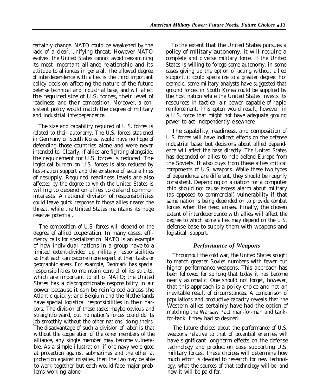certainly change. NATO could be weakened by the lack of a clear, unifying threat. However NATO evolves, the United States cannot avoid reexamining its most important alliance relationship and its attitude to alliances in general. The allowed degree of interdependence with allies is the third important policy decision affecting the nature of the future defense technical and industrial base, and will affect the required size of U.S. forces, their level of readiness, and their composition. Moreover, a consistent policy would match the degree of military and industrial interdependence.

The size and capability required of U.S. forces is related to their autonomy. The U.S. forces stationed in Germany or South Korea would have no hope of defending those countries alone and were never intended to. Clearly, if allies are fighting alongside, the requirement for U.S. forces is reduced. The logistical burden on U.S. forces is also reduced by host-nation support and the existence of secure lines of resupply. Required readiness levels are also affected by the degree to which the United States is willing to depend on allies to defend common interests. A rational division of responsibilities could leave quick response to those allies nearer the threat, while the United States maintains its huge reserve potential.

The composition of U.S. forces will depend on the degree of allied cooperation. In many cases, efficiency calls for specialization. NATO is an example of how individual nations in a group have-to a limited extent-divided up military responsibilities so that each can become more expert at their tasks or geographic areas. For example, Denmark has special responsibilities to maintain control of its straits, which are important to all of NATO; the United States has a disproportionate responsibility in air power because it can be reinforced across the Atlantic quickly; and Belgium and the Netherlands have special logistical responsibilities in their harbors. The division of these tasks maybe obvious and straightforward, but no nation's forces could do its job smoothly without the other nations' doing theirs. The disadvantage of such a division of labor is that without the cooperation of the other members of the alliance, any single member may become vulnerable. As a simple illustration, if one navy were good at protection against submarines and the other at protection against missiles, then the two may be able to work together but each would face major problems working alone.

To the extent that the United States pursues a policy of military autonomy, it will require a complete and diverse military force. If the United States is willing to forego some autonomy, in some cases giving up the option of acting without allied support, it could specialize to a greater degree. For example, some military analysts have suggested that ground forces in South Korea could be supplied by the host nation while the United States invests its resources in tactical air power capable of rapid reinforcement. This opton would result, however, in a U.S. force that might not have adequate ground power to act independently elsewhere.

The capability, readiness, and composition of U.S. forces will have indirect effects on the defense industrial base, but decisions about allied dependence will affect the base directly. The United States has depended on allies to help defend Europe from the Soviets. It also buys from these allies critical components of U.S. weapons. While these two types of dependence are different, they should be roughly consistent. Depending on a nation for a computer chip should not cause excess alarm about military (as opposed to commercial) vulnerability if that same nation is being depended on to provide combat forces when the need arises. Finally, the chosen extent of interdependence with allies will affect the degree to which some allies may depend on the U.S. defense base to supply them with weapons and logistical support.

### *Performance of Weapons*

Throughout the cold war, the United States sought to match greater Soviet numbers with fewer but higher performance weapons. This approach has been followed for so long that today it has become nearly axiomatic. One should not forget, however, that this approach is a policy choice and not an inevitable result of circumstances. A comparison of populations and productive capacity reveals that the Western allies certainly have had the option of matching the Warsaw Pact man-for-man and tankfor-tank if they had so desired.

The future choices about the performance of U.S. weapons relative to that of potential enemies will have significant long-term effects on the defense technology and production base supporting U.S. military forces. These choices will determine how much effort is devoted to research for new technology, what the sources of that technology will be, and how it will be paid for.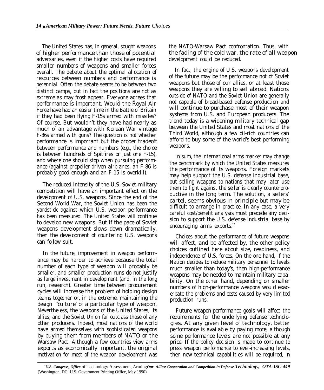The United States has, in general, sought weapons of higher performance than those of potential adversaries, even if the higher costs have required smaller numbers of weapons and smaller forces overall. The debate about the optimal allocation of resources between numbers and performance is perennial. Often the debate seems to be between two distinct camps, but in fact the positions are not as extreme as may frost appear. Everyone agrees that performance is important. Would the Royal Air Force have had an easier time in the Battle of Britain if they had been flying F-15s armed with missiles? Of course. But wouldn't they have had nearly as much of an advantage with Korean War vintage F-86s armed with guns? The question is not whether performance is important but the proper tradeoff between performance and numbers (e.g., the choice is between hundreds of Spitfires or just one F-15), and where one should stop when pursuing performance (against propeller-driven airplanes, an F-86 is probably good enough and an F-15 is overkill).

The reduced intensity of the U.S.-Soviet military competition will have an important effect on the development of U.S. weapons. Since the end of the Second World War, the Soviet Union has been the yardstick against which U.S. weapon performance has been measured. The United States will continue to develop new weapons. But if the pace of Soviet weapons development slows down dramatically, then the development of countering U.S. weapons can follow suit.

In the future, improvement in weapon performance may be harder to achieve because the total number of each type of weapon will probably be smaller, and smaller production runs do not justify as large investment in development (and, in the long run, research). Greater time between procurement cycles will increase the problem of holding design teams together or, in the extreme, maintaining the design ''culture' of a particular type of weapon. Nevertheless, the weapons of the United States, its allies, and the Soviet Union far outclass those of any other producers. Indeed, most nations of the world have armed themselves with sophisticated weapons by buying them from members of NATO or the Warsaw Pact. Although a few countries view arms exports as economically important, the original motivation for most of the weapon development was

the NATO-Warsaw Pact confrontation. Thus, with the fading of the cold war, the rate of all weapon development could be reduced.

In fact, the engine of U.S. weapons development of the future may be the performance not of Soviet weapons but those of our allies, or at least those weapons they are willing to sell abroad. Nations outside of NATO and the Soviet Union are generally not capable of broad-based defense production and will continue to purchase most of their weapon systems from U.S. and European producers. The trend today is a widening military technical gap between the United States and most nations of the Third World, although a few oil-rich countries can afford to buy some of the world's best performing weapons.

In sum, the international arms market may change the benchmark by which the United States measures the performance of its weapons. Foreign markets may help support the U.S. defense industrial base, but selling weapons to nations that may later use them to fight against the seller is clearly counterproductive in the long term. The solution, a sellers' cartel, seems obvious in principle but may be difficult to arrange in practice. In any case, a very careful cost/benefit analysis must precede any decision to support the U.S. defense industrial base by encouraging arms exports.<sup>12</sup>

Choices about the performance of future weapons will affect, and be affected by, the other policy choices outlined here about size, readiness, and independence of U.S. forces. On the one hand, if the Nation decides to reduce military personnel to levels much smaller than today's, then high-performance weapons may be needed to maintain military capability. On the other hand, depending on smaller numbers of high-performance weapons would exacerbate the problems and costs caused by very limited production runs.

Future weapon-performance goals will affect the requirements for the underlying defense technologies. At any given level of technology, better performance is available by paying more, although some performance levels are not possible at any price. If the policy decision is made to continue to press weapon performance to ever-increasing levels, then new technical capabilities will be required, in

*<sup>12</sup>U.S. Congress, Office* of Technology Assessment, Arming *Our Allies: Cooperation and Competition in Defense Technology, OTA-ISC-449* (Washington, DC: U.S. Government Printing Office, May 1990).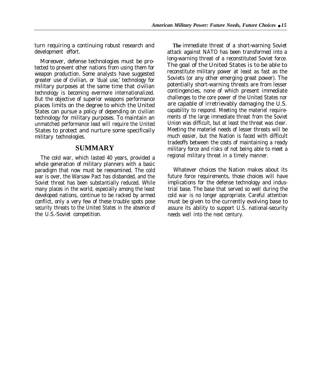turn requiring a continuing robust research and development effort.

Moreover, defense technologies must be protected to prevent other nations from using them for weapon production. Some analysts have suggested greater use of civilian, or 'dual use,' technology for military purposes at the same time that civilian technology is becoming evermore internationalized. But the objective of superior weapons performance places limits on the degree to which the United States can pursue a policy of depending on civilian technology for military purposes. To maintain an unmatched performance lead will require the United States to protect and nurture some specifically military technologies.

### **SUMMARY**

The cold war, which lasted 40 years, provided a whole generation of military planners with a basic paradigm that now must be reexamined. The cold war is over, the Warsaw Pact has disbanded, and the Soviet threat has been substantially reduced. While many places in the world, especially among the least developed nations, continue to be racked by armed conflict, only a very few of these trouble spots pose security threats to the United States in the absence of the U.S.-Soviet competition.

**The** immediate threat of a short-warning Soviet attack against NATO has been transformed into a long-warning threat of a reconstituted Soviet force. The goal of the United States is to be able to reconstitute military power at least as fast as the Soviets (or any other emerging great power). The potentially short-warning threats are from lesser contingencies, none of which present immediate challenges to the core power of the United States nor are capable of irretrievably damaging the U.S. capability to respond. Meeting the materiel requirements of the large immediate threat from the Soviet Union was difficult, but at least the threat was clear. Meeting the materiel needs of lesser threats will be much easier, but the Nation is faced with difficult tradeoffs between the costs of maintaining a ready military force and risks of not being able to meet a regional military threat in a timely manner.

Whatever choices the Nation makes about its future force requirements, those choices will have implications for the defense technology and industrial base. The base that served so well during the cold war is no longer appropriate. Careful attention must be given to the currently evolving base to assure its ability to support U.S. national-security needs well into the next century.